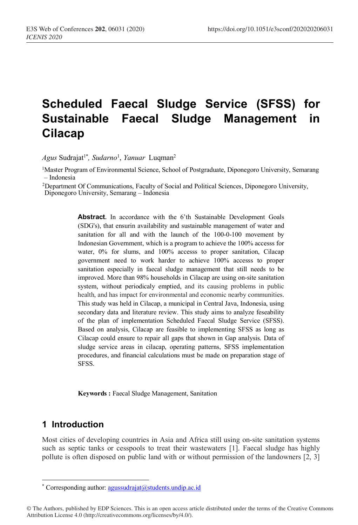# **Scheduled Faecal Sludge Service (SFSS) for Sustainable Faecal Sludge Management in Cilacap**

 $A$ g*us* Sudrajat<sup>1\*</sup>, *Sudarno<sup>1</sup>, Yanuar* Luqman<sup>2</sup>

1Master Program of Environmental Science, School of Postgraduate, Diponegoro University, Semarang – Indonesia

2 Department Of Communications, Faculty of Social and Political Sciences, Diponegoro University, Diponegoro University, Semarang – Indonesia

Abstract. In accordance with the 6'th Sustainable Development Goals (SDG's), that ensurin availability and sustainable management of water and sanitation for all and with the launch of the 100-0-100 movement by Indonesian Government, which is a program to achieve the 100% accesss for water,  $0\%$  for slums, and  $100\%$  accesss to proper sanitation, Cilacap government need to work harder to achieve 100% accesss to proper sanitation especially in faecal sludge management that still needs to be improved. More than 98% households in Cilacap are using on-site sanitation system, without periodicaly emptied, and its causing problems in public health, and has impact for environmental and economic nearby communities. This study was held in Cilacap, a municipal in Central Java, Indonesia, using secondary data and literature review. This study aims to analyze feseability of the plan of implementation Scheduled Faecal Sludge Service (SFSS). Based on analysis, Cilacap are feasible to implementing SFSS as long as Cilacap could ensure to repair all gaps that shown in Gap analysis. Data of sludge service areas in cilacap, operating patterns, SFSS implementation procedures, and financial calculations must be made on preparation stage of SFSS.

**Keywords :** Faecal Sludge Management, Sanitation

## **1 Introduction**

 $\overline{a}$ 

Most cities of developing countries in Asia and Africa still using on-site sanitation systems such as septic tanks or cesspools to treat their wastewaters [1]. Faecal sludge has highly pollute is often disposed on public land with or without permission of the landowners [2, 3]

<sup>\*</sup> Corresponding author: agussudrajat@students.undip.ac.id

<sup>©</sup> The Authors, published by EDP Sciences. This is an open access article distributed under the terms of the Creative Commons Attribution License 4.0 (http://creativecommons.org/licenses/by/4.0/).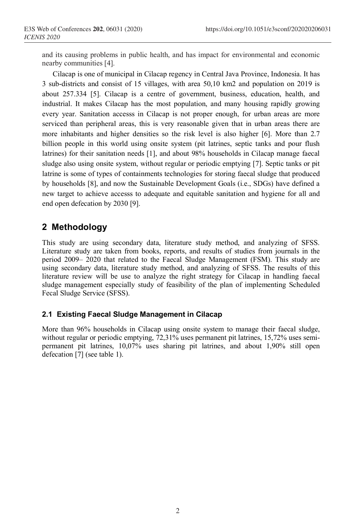and its causing problems in public health, and has impact for environmental and economic nearby communities [4].

Cilacap is one of municipal in Cilacap regency in Central Java Province, Indonesia. It has 3 sub-districts and consist of 15 villages, with area 50,10 km2 and population on 2019 is about 257.334 [5]. Cilacap is a centre of government, business, education, health, and industrial. It makes Cilacap has the most population, and many housing rapidly growing every year. Sanitation accesss in Cilacap is not proper enough, for urban areas are more serviced than peripheral areas, this is very reasonable given that in urban areas there are more inhabitants and higher densities so the risk level is also higher [6]. More than 2.7 billion people in this world using onsite system (pit latrines, septic tanks and pour flush latrines) for their sanitation needs [1], and about 98% households in Cilacap manage faecal sludge also using onsite system, without regular or periodic emptying [7]. Septic tanks or pit latrine is some of types of containments technologies for storing faecal sludge that produced by households [8], and now the Sustainable Development Goals (i.e., SDGs) have defined a new target to achieve accesss to adequate and equitable sanitation and hygiene for all and end open defecation by 2030 [9].

# **2 Methodology**

This study are using secondary data, literature study method, and analyzing of SFSS. Literature study are taken from books, reports, and results of studies from journals in the period 2009– 2020 that related to the Faecal Sludge Management (FSM). This study are using secondary data, literature study method, and analyzing of SFSS. The results of this literature review will be use to analyze the right strategy for Cilacap in handling faecal sludge management especially study of feasibility of the plan of implementing Scheduled Fecal Sludge Service (SFSS).

## **2.1 Existing Faecal Sludge Management in Cilacap**

More than 96% households in Cilacap using onsite system to manage their faecal sludge, without regular or periodic emptying,  $72,31\%$  uses permanent pit latrines, 15,72% uses semipermanent pit latrines, 10,07% uses sharing pit latrines, and about 1,90% still open defecation [7] (see table 1).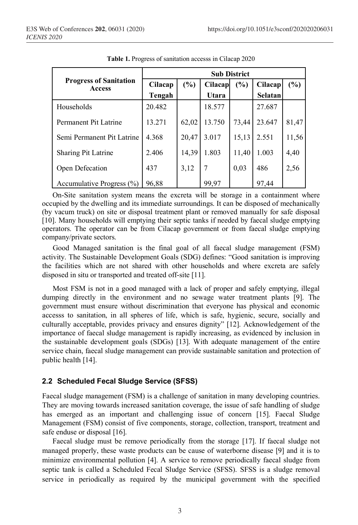|                                         | <b>Sub District</b> |       |         |       |         |        |
|-----------------------------------------|---------------------|-------|---------|-------|---------|--------|
| <b>Progress of Sanitation</b><br>Access | Cilacap             | (%)   | Cilacap | (%)   | Cilacap | $(\%)$ |
|                                         | Tengah              |       | Utara   |       | Selatan |        |
| Households                              | 20.482              |       | 18.577  |       | 27.687  |        |
| Permanent Pit Latrine                   | 13.271              | 62,02 | 13.750  | 73,44 | 23.647  | 81,47  |
| Semi Permanent Pit Latrine              | 4.368               | 20,47 | 3.017   | 15,13 | 2.551   | 11,56  |
| <b>Sharing Pit Latrine</b>              | 2.406               | 14,39 | 1.803   | 11,40 | 1.003   | 4,40   |
| Open Defecation                         | 437                 | 3,12  | 7       | 0,03  | 486     | 2,56   |
| Accumulative Progress $(\% )$           | 96,88               |       | 99,97   |       | 97,44   |        |

**Table 1.** Progress of sanitation accesss in Cilacap 2020

On-Site sanitation system means the excreta will be storage in a containment where occupied by the dwelling and its immediate surroundings. It can be disposed of mechanically (by vacum truck) on site or disposal treatment plant or removed manually for safe disposal [10]. Many households will emptying their septic tanks if needed by faecal sludge emptying operators. The operator can be from Cilacap government or from faecal sludge emptying company/private sectors.

Good Managed sanitation is the final goal of all faecal sludge management (FSM) activity. The Sustainable Development Goals (SDG) defines: "Good sanitation is improving the facilities which are not shared with other households and where excreta are safely disposed in situ or transported and treated off-site [11].

Most FSM is not in a good managed with a lack of proper and safely emptying, illegal dumping directly in the environment and no sewage water treatment plants [9]. The government must ensure without discrimination that everyone has physical and economic accesss to sanitation, in all spheres of life, which is safe, hygienic, secure, socially and culturally acceptable, provides privacy and ensures dignity" [12]. Acknowledgement of the importance of faecal sludge management is rapidly increasing, as evidenced by inclusion in the sustainable development goals (SDGs) [13]. With adequate management of the entire service chain, faecal sludge management can provide sustainable sanitation and protection of public health [14].

#### **2.2 Scheduled Fecal Sludge Service (SFSS)**

Faecal sludge management (FSM) is a challenge of sanitation in many developing countries. They are moving towards increased sanitation coverage, the issue of safe handling of sludge has emerged as an important and challenging issue of concern [15]. Faecal Sludge Management (FSM) consist of five components, storage, collection, transport, treatment and safe enduse or disposal [16].

Faecal sludge must be remove periodically from the storage [17]. If faecal sludge not managed properly, these waste products can be cause of waterborne disease [9] and it is to minimize environmental pollution [4]. A service to remove periodically faecal sludge from septic tank is called a Scheduled Fecal Sludge Service (SFSS). SFSS is a sludge removal service in periodically as required by the municipal government with the specified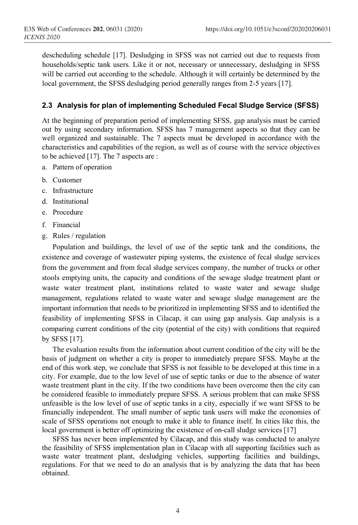descheduling schedule [17]. Desludging in SFSS was not carried out due to requests from households/septic tank users. Like it or not, necessary or unnecessary, desludging in SFSS will be carried out according to the schedule. Although it will certainly be determined by the local government, the SFSS desludging period generally ranges from 2-5 years [17].

## **2.3 Analysis for plan of implementing Scheduled Fecal Sludge Service (SFSS)**

At the beginning of preparation period of implementing SFSS, gap analysis must be carried out by using secondary information. SFSS has 7 management aspects so that they can be well organized and sustainable. The 7 aspects must be developed in accordance with the characteristics and capabilities of the region, as well as of course with the service objectives to be achieved [17]. The 7 aspects are :

- a. Pattern of operation
- b. Customer
- c. Infrastructure
- d. Institutional
- e. Procedure
- f. Financial
- g. Rules / regulation

Population and buildings, the level of use of the septic tank and the conditions, the existence and coverage of wastewater piping systems, the existence of fecal sludge services from the government and from fecal sludge services company, the number of trucks or other stools emptying units, the capacity and conditions of the sewage sludge treatment plant or waste water treatment plant, institutions related to waste water and sewage sludge management, regulations related to waste water and sewage sludge management are the important information that needs to be prioritized in implementing SFSS and to identified the feasibility of implementing SFSS in Cilacap, it can using gap analysis. Gap analysis is a comparing current conditions of the city (potential of the city) with conditions that required by SFSS [17].

The evaluation results from the information about current condition of the city will be the basis of judgment on whether a city is proper to immediately prepare SFSS. Maybe at the end of this work step, we conclude that SFSS is not feasible to be developed at this time in a city. For example, due to the low level of use of septic tanks or due to the absence of water waste treatment plant in the city. If the two conditions have been overcome then the city can be considered feasible to immediately prepare SFSS. A serious problem that can make SFSS unfeasible is the low level of use of septic tanks in a city, especially if we want SFSS to be financially independent. The small number of septic tank users will make the economies of scale of SFSS operations not enough to make it able to finance itself. In cities like this, the local government is better off optimizing the existence of on-call sludge services [17]

SFSS has never been implemented by Cilacap, and this study was conducted to analyze the feasibility of SFSS implementation plan in Cilacap with all supporting facilities such as waste water treatment plant, desludging vehicles, supporting facilities and buildings, regulations. For that we need to do an analysis that is by analyzing the data that has been obtained.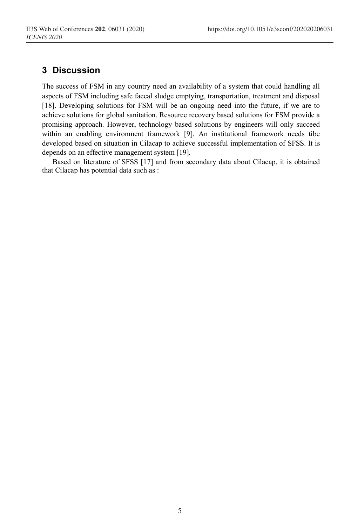# **3 Discussion**

The success of FSM in any country need an availability of a system that could handling all aspects of FSM including safe faecal sludge emptying, transportation, treatment and disposal [18]. Developing solutions for FSM will be an ongoing need into the future, if we are to achieve solutions for global sanitation. Resource recovery based solutions for FSM provide a promising approach. However, technology based solutions by engineers will only succeed within an enabling environment framework [9]. An institutional framework needs tibe developed based on situation in Cilacap to achieve successful implementation of SFSS. It is depends on an effective management system [19].

Based on literature of SFSS [17] and from secondary data about Cilacap, it is obtained that Cilacap has potential data such as :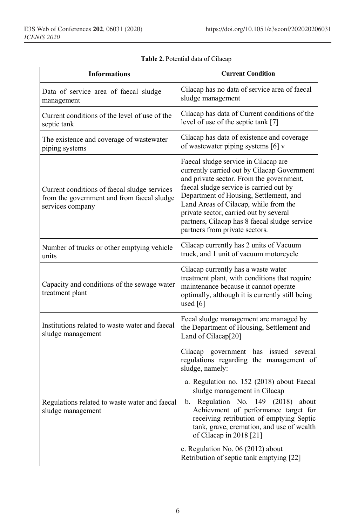| <b>Informations</b>                                                                                            | <b>Current Condition</b>                                                                                                                                                                                                                                                                                                                                                                                                                                                    |  |  |  |
|----------------------------------------------------------------------------------------------------------------|-----------------------------------------------------------------------------------------------------------------------------------------------------------------------------------------------------------------------------------------------------------------------------------------------------------------------------------------------------------------------------------------------------------------------------------------------------------------------------|--|--|--|
| Data of service area of faecal sludge<br>management                                                            | Cilacap has no data of service area of faecal<br>sludge management                                                                                                                                                                                                                                                                                                                                                                                                          |  |  |  |
| Current conditions of the level of use of the<br>septic tank                                                   | Cilacap has data of Current conditions of the<br>level of use of the septic tank [7]                                                                                                                                                                                                                                                                                                                                                                                        |  |  |  |
| The existence and coverage of wastewater<br>piping systems                                                     | Cilacap has data of existence and coverage<br>of wastewater piping systems [6] v                                                                                                                                                                                                                                                                                                                                                                                            |  |  |  |
| Current conditions of faecal sludge services<br>from the government and from faecal sludge<br>services company | Faecal sludge service in Cilacap are<br>currently carried out by Cilacap Government<br>and private sector. From the government,<br>faecal sludge service is carried out by<br>Department of Housing, Settlement, and<br>Land Areas of Cilacap, while from the<br>private sector, carried out by several<br>partners, Cilacap has 8 faecal sludge service<br>partners from private sectors.                                                                                  |  |  |  |
| Number of trucks or other emptying vehicle<br>units                                                            | Cilacap currently has 2 units of Vacuum<br>truck, and 1 unit of vacuum motorcycle                                                                                                                                                                                                                                                                                                                                                                                           |  |  |  |
| Capacity and conditions of the sewage water<br>treatment plant                                                 | Cilacap currently has a waste water<br>treatment plant, with conditions that require<br>maintenance because it cannot operate<br>optimally, although it is currently still being<br>used $[6]$                                                                                                                                                                                                                                                                              |  |  |  |
| Institutions related to waste water and faecal<br>sludge management                                            | Fecal sludge management are managed by<br>the Department of Housing, Settlement and<br>Land of Cilacap[20]                                                                                                                                                                                                                                                                                                                                                                  |  |  |  |
| Regulations related to waste water and faecal<br>sludge management                                             | Cilacap government has issued<br>several<br>regulations regarding the management of<br>sludge, namely:<br>a. Regulation no. 152 (2018) about Faecal<br>sludge management in Cilacap<br>b. Regulation No. 149 (2018)<br>about<br>Achievment of performance target for<br>receiving retribution of emptying Septic<br>tank, grave, cremation, and use of wealth<br>of Cilacap in $2018$ [21]<br>c. Regulation No. 06 (2012) about<br>Retribution of septic tank emptying [22] |  |  |  |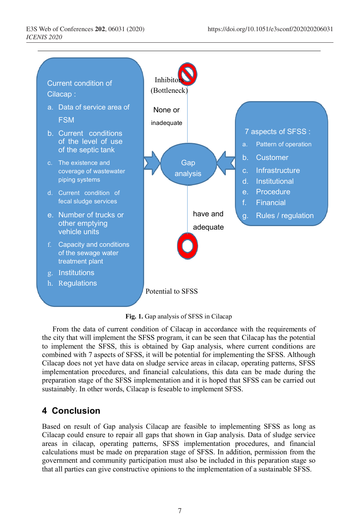

**Fig. 1.** Gap analysis of SFSS in Cilacap

From the data of current condition of Cilacap in accordance with the requirements of the city that will implement the SFSS program, it can be seen that Cilacap has the potential to implement the SFSS, this is obtained by Gap analysis, where current conditions are combined with 7 aspects of SFSS, it will be potential for implementing the SFSS. Although Cilacap does not yet have data on sludge service areas in cilacap, operating patterns, SFSS implementation procedures, and financial calculations, this data can be made during the preparation stage of the SFSS implementation and it is hoped that SFSS can be carried out sustainably. In other words, Cilacap is feseable to implement SFSS.

# **4 Conclusion**

Based on result of Gap analysis Cilacap are feasible to implementing SFSS as long as Cilacap could ensure to repair all gaps that shown in Gap analysis. Data of sludge service areas in cilacap, operating patterns, SFSS implementation procedures, and financial calculations must be made on preparation stage of SFSS. In addition, permission from the government and community participation must also be included in this peparation stage so that all parties can give constructive opinions to the implementation of a sustainable SFSS.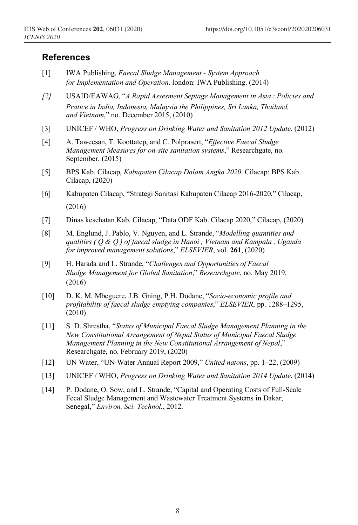## **References**

- [1] IWA Publishing, *Faecal Sludge Management - System Approach for Implementation and Operation*. london: IWA Publishing. (2014)
- *[2]* USAID/EAWAG, "*A Rapid Assesment Septage Management in Asia : Policies and Pratice in India, Indonesia, Malaysia the Philippines, Sri Lanka, Thailand, and Vietnam*," no. December 2015, (2010)
- [3] UNICEF / WHO, *Progress on Drinking Water and Sanitation 2012 Update*. (2012)
- [4] A. Taweesan, T. Koottatep, and C. Polprasert, "*Effective Faecal Sludge Management Measures for on-site sanitation systems*," Researchgate, no. September, (2015)
- [5] BPS Kab. Cilacap, *Kabupaten Cilacap Dalam Angka 2020*. Cilacap: BPS Kab. Cilacap, (2020)
- [6] Kabupaten Cilacap, "Strategi Sanitasi Kabupaten Cilacap 2016-2020," Cilacap, (2016)
- [7] Dinas kesehatan Kab. Cilacap, "Data ODF Kab. Cilacap 2020," Cilacap, (2020)
- [8] M. Englund, J. Pablo, V. Nguyen, and L. Strande, "*Modelling quantities and qualities ( Q & Q ) of faecal sludge in Hanoi , Vietnam and Kampala , Uganda for improved management solutions*," *ELSEVIER*, vol. **261**, (2020)
- [9] H. Harada and L. Strande, "*Challenges and Opportunities of Faecal Sludge Management for Global Sanitation*," *Researchgate*, no. May 2019, (2016)
- [10] D. K. M. Mbeguere, J.B. Gning, P.H. Dodane, "*Socio-economic profile and profitability of faecal sludge emptying companies*," *ELSEVIER*, pp. 1288–1295,  $(2010)$
- [11] S. D. Shrestha, "*Status of Municipal Faecal Sludge Management Planning in the New Constitutional Arrangement of Nepal Status of Municipal Faecal Sludge Management Planning in the New Constitutional Arrangement of Nepal*," Researchgate, no. February 2019, (2020)
- [12] UN Water, "UN-Water Annual Report 2009," *United natons*, pp. 1–22, (2009)
- [13] UNICEF / WHO, *Progress on Drinking Water and Sanitation 2014 Update*. (2014)
- [14] P. Dodane, O. Sow, and L. Strande, "Capital and Operating Costs of Full-Scale Fecal Sludge Management and Wastewater Treatment Systems in Dakar, Senegal," *Environ. Sci. Technol.*, 2012.